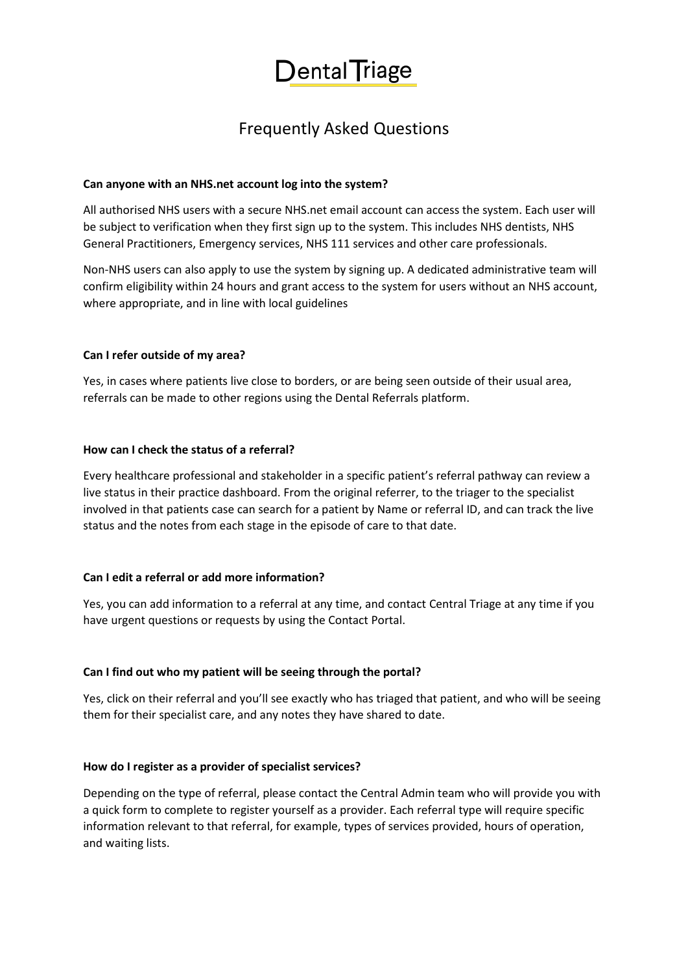

# Frequently Asked Questions

#### **Can anyone with an NHS.net account log into the system?**

All authorised NHS users with a secure NHS.net email account can access the system. Each user will be subject to verification when they first sign up to the system. This includes NHS dentists, NHS General Practitioners, Emergency services, NHS 111 services and other care professionals.

Non-NHS users can also apply to use the system by signing up. A dedicated administrative team will confirm eligibility within 24 hours and grant access to the system for users without an NHS account, where appropriate, and in line with local guidelines

## **Can I refer outside of my area?**

Yes, in cases where patients live close to borders, or are being seen outside of their usual area, referrals can be made to other regions using the Dental Referrals platform.

## **How can I check the status of a referral?**

Every healthcare professional and stakeholder in a specific patient's referral pathway can review a live status in their practice dashboard. From the original referrer, to the triager to the specialist involved in that patients case can search for a patient by Name or referral ID, and can track the live status and the notes from each stage in the episode of care to that date.

#### **Can I edit a referral or add more information?**

Yes, you can add information to a referral at any time, and contact Central Triage at any time if you have urgent questions or requests by using the Contact Portal.

#### **Can I find out who my patient will be seeing through the portal?**

Yes, click on their referral and you'll see exactly who has triaged that patient, and who will be seeing them for their specialist care, and any notes they have shared to date.

#### **How do I register as a provider of specialist services?**

Depending on the type of referral, please contact the Central Admin team who will provide you with a quick form to complete to register yourself as a provider. Each referral type will require specific information relevant to that referral, for example, types of services provided, hours of operation, and waiting lists.